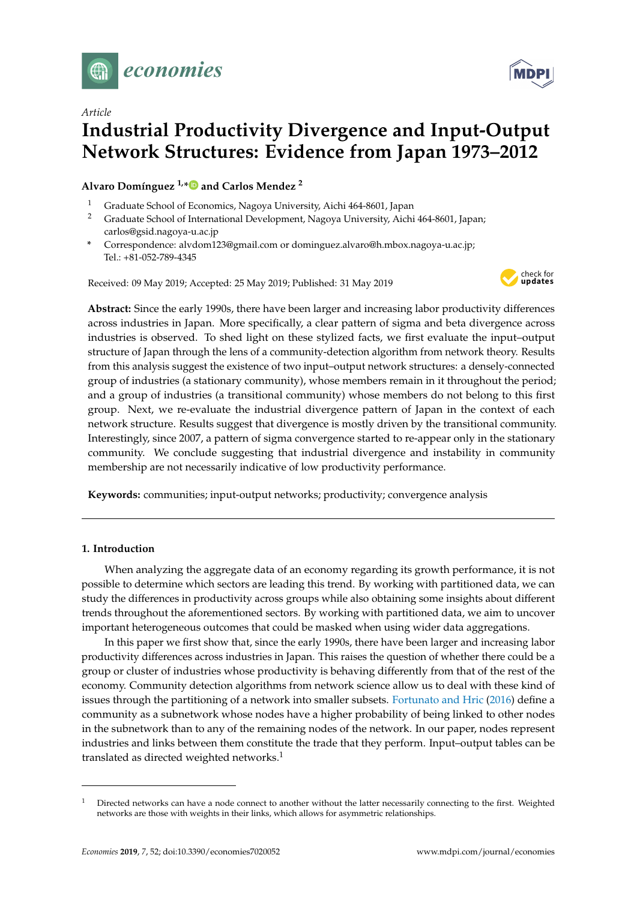



# *Article* **Industrial Productivity Divergence and Input-Output Network Structures: Evidence from Japan 1973–2012**

**Alvaro Domínguez 1,[\\*](https://orcid.org/0000-0001-9848-1559) and Carlos Mendez <sup>2</sup>**

- <sup>1</sup> Graduate School of Economics, Nagoya University, Aichi 464-8601, Japan<br><sup>2</sup> Graduate School of International Development, Nagoya University, Aichi
- <sup>2</sup> Graduate School of International Development, Nagoya University, Aichi 464-8601, Japan; carlos@gsid.nagoya-u.ac.jp
- **\*** Correspondence: alvdom123@gmail.com or dominguez.alvaro@h.mbox.nagoya-u.ac.jp; Tel.: +81-052-789-4345

Received: 09 May 2019; Accepted: 25 May 2019; Published: 31 May 2019



**Abstract:** Since the early 1990s, there have been larger and increasing labor productivity differences across industries in Japan. More specifically, a clear pattern of sigma and beta divergence across industries is observed. To shed light on these stylized facts, we first evaluate the input–output structure of Japan through the lens of a community-detection algorithm from network theory. Results from this analysis suggest the existence of two input–output network structures: a densely-connected group of industries (a stationary community), whose members remain in it throughout the period; and a group of industries (a transitional community) whose members do not belong to this first group. Next, we re-evaluate the industrial divergence pattern of Japan in the context of each network structure. Results suggest that divergence is mostly driven by the transitional community. Interestingly, since 2007, a pattern of sigma convergence started to re-appear only in the stationary community. We conclude suggesting that industrial divergence and instability in community membership are not necessarily indicative of low productivity performance.

**Keywords:** communities; input-output networks; productivity; convergence analysis

#### **1. Introduction**

When analyzing the aggregate data of an economy regarding its growth performance, it is not possible to determine which sectors are leading this trend. By working with partitioned data, we can study the differences in productivity across groups while also obtaining some insights about different trends throughout the aforementioned sectors. By working with partitioned data, we aim to uncover important heterogeneous outcomes that could be masked when using wider data aggregations.

In this paper we first show that, since the early 1990s, there have been larger and increasing labor productivity differences across industries in Japan. This raises the question of whether there could be a group or cluster of industries whose productivity is behaving differently from that of the rest of the economy. Community detection algorithms from network science allow us to deal with these kind of issues through the partitioning of a network into smaller subsets. [Fortunato and Hric](#page-13-0) [\(2016\)](#page-13-0) define a community as a subnetwork whose nodes have a higher probability of being linked to other nodes in the subnetwork than to any of the remaining nodes of the network. In our paper, nodes represent industries and links between them constitute the trade that they perform. Input–output tables can be translated as directed weighted networks.<sup>1</sup>

<sup>1</sup> Directed networks can have a node connect to another without the latter necessarily connecting to the first. Weighted networks are those with weights in their links, which allows for asymmetric relationships.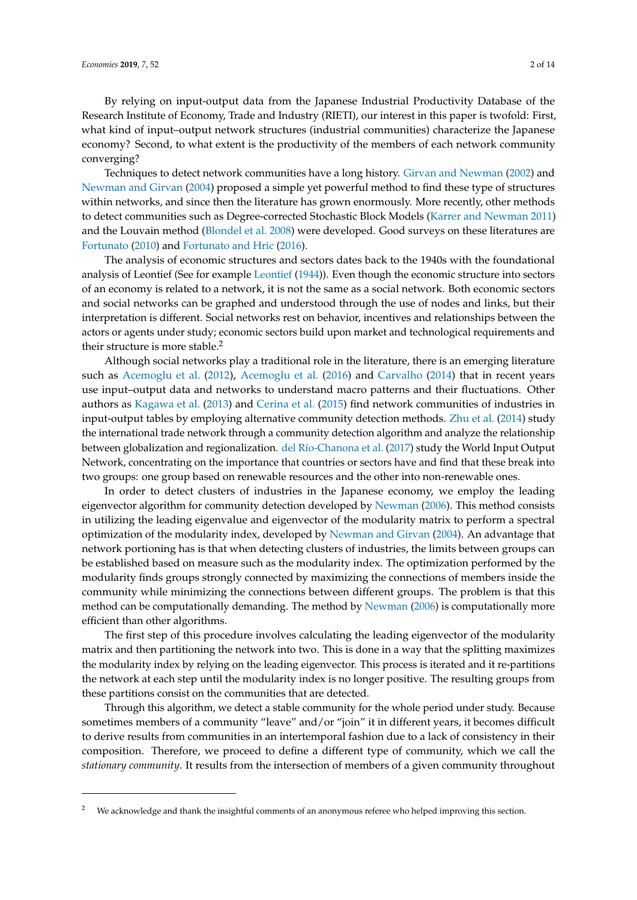By relying on input-output data from the Japanese Industrial Productivity Database of the Research Institute of Economy, Trade and Industry (RIETI), our interest in this paper is twofold: First, what kind of input–output network structures (industrial communities) characterize the Japanese economy? Second, to what extent is the productivity of the members of each network community converging?

Techniques to detect network communities have a long history. [Girvan and Newman](#page-13-1) [\(2002\)](#page-13-1) and [Newman and Girvan](#page-13-2) [\(2004\)](#page-13-2) proposed a simple yet powerful method to find these type of structures within networks, and since then the literature has grown enormously. More recently, other methods to detect communities such as Degree-corrected Stochastic Block Models [\(Karrer and Newman](#page-13-3) [2011\)](#page-13-3) and the Louvain method [\(Blondel et al.](#page-13-4) [2008\)](#page-13-4) were developed. Good surveys on these literatures are [Fortunato](#page-13-5) [\(2010\)](#page-13-5) and [Fortunato and Hric](#page-13-0) [\(2016\)](#page-13-0).

The analysis of economic structures and sectors dates back to the 1940s with the foundational analysis of Leontief (See for example [Leontief](#page-13-6) [\(1944\)](#page-13-6)). Even though the economic structure into sectors of an economy is related to a network, it is not the same as a social network. Both economic sectors and social networks can be graphed and understood through the use of nodes and links, but their interpretation is different. Social networks rest on behavior, incentives and relationships between the actors or agents under study; economic sectors build upon market and technological requirements and their structure is more stable.<sup>2</sup>

Although social networks play a traditional role in the literature, there is an emerging literature such as [Acemoglu et al.](#page-12-0) [\(2012\)](#page-12-0), [Acemoglu et al.](#page-12-1) [\(2016\)](#page-12-1) and [Carvalho](#page-13-7) [\(2014\)](#page-13-7) that in recent years use input–output data and networks to understand macro patterns and their fluctuations. Other authors as [Kagawa et al.](#page-13-8) [\(2013\)](#page-13-8) and [Cerina et al.](#page-13-9) [\(2015\)](#page-13-9) find network communities of industries in input-output tables by employing alternative community detection methods. [Zhu et al.](#page-13-10) [\(2014\)](#page-13-10) study the international trade network through a community detection algorithm and analyze the relationship between globalization and regionalization. [del Río-Chanona et al.](#page-13-11) [\(2017\)](#page-13-11) study the World Input Output Network, concentrating on the importance that countries or sectors have and find that these break into two groups: one group based on renewable resources and the other into non-renewable ones.

In order to detect clusters of industries in the Japanese economy, we employ the leading eigenvector algorithm for community detection developed by [Newman](#page-13-12) [\(2006\)](#page-13-12). This method consists in utilizing the leading eigenvalue and eigenvector of the modularity matrix to perform a spectral optimization of the modularity index, developed by [Newman and Girvan](#page-13-2) [\(2004\)](#page-13-2). An advantage that network portioning has is that when detecting clusters of industries, the limits between groups can be established based on measure such as the modularity index. The optimization performed by the modularity finds groups strongly connected by maximizing the connections of members inside the community while minimizing the connections between different groups. The problem is that this method can be computationally demanding. The method by [Newman](#page-13-12) [\(2006\)](#page-13-12) is computationally more efficient than other algorithms.

The first step of this procedure involves calculating the leading eigenvector of the modularity matrix and then partitioning the network into two. This is done in a way that the splitting maximizes the modularity index by relying on the leading eigenvector. This process is iterated and it re-partitions the network at each step until the modularity index is no longer positive. The resulting groups from these partitions consist on the communities that are detected.

Through this algorithm, we detect a stable community for the whole period under study. Because sometimes members of a community "leave" and/or "join" it in different years, it becomes difficult to derive results from communities in an intertemporal fashion due to a lack of consistency in their composition. Therefore, we proceed to define a different type of community, which we call the *stationary community*. It results from the intersection of members of a given community throughout

<sup>2</sup> We acknowledge and thank the insightful comments of an anonymous referee who helped improving this section.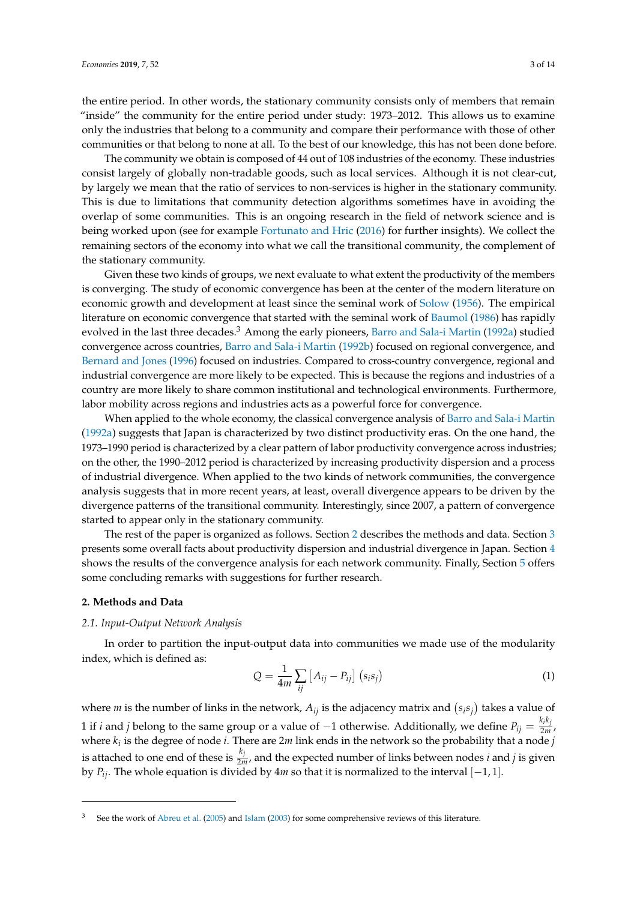the entire period. In other words, the stationary community consists only of members that remain "inside" the community for the entire period under study: 1973–2012. This allows us to examine only the industries that belong to a community and compare their performance with those of other communities or that belong to none at all. To the best of our knowledge, this has not been done before.

The community we obtain is composed of 44 out of 108 industries of the economy. These industries consist largely of globally non-tradable goods, such as local services. Although it is not clear-cut, by largely we mean that the ratio of services to non-services is higher in the stationary community. This is due to limitations that community detection algorithms sometimes have in avoiding the overlap of some communities. This is an ongoing research in the field of network science and is being worked upon (see for example [Fortunato and Hric](#page-13-0) [\(2016\)](#page-13-0) for further insights). We collect the remaining sectors of the economy into what we call the transitional community, the complement of the stationary community.

Given these two kinds of groups, we next evaluate to what extent the productivity of the members is converging. The study of economic convergence has been at the center of the modern literature on economic growth and development at least since the seminal work of [Solow](#page-13-13) [\(1956\)](#page-13-13). The empirical literature on economic convergence that started with the seminal work of [Baumol](#page-12-2) [\(1986\)](#page-12-2) has rapidly evolved in the last three decades.<sup>3</sup> Among the early pioneers, [Barro and Sala-i Martin](#page-12-3) [\(1992a\)](#page-12-3) studied convergence across countries, [Barro and Sala-i Martin](#page-12-4) [\(1992b\)](#page-12-4) focused on regional convergence, and [Bernard and Jones](#page-12-5) [\(1996\)](#page-12-5) focused on industries. Compared to cross-country convergence, regional and industrial convergence are more likely to be expected. This is because the regions and industries of a country are more likely to share common institutional and technological environments. Furthermore, labor mobility across regions and industries acts as a powerful force for convergence.

When applied to the whole economy, the classical convergence analysis of [Barro and Sala-i Martin](#page-12-3) [\(1992a\)](#page-12-3) suggests that Japan is characterized by two distinct productivity eras. On the one hand, the 1973–1990 period is characterized by a clear pattern of labor productivity convergence across industries; on the other, the 1990–2012 period is characterized by increasing productivity dispersion and a process of industrial divergence. When applied to the two kinds of network communities, the convergence analysis suggests that in more recent years, at least, overall divergence appears to be driven by the divergence patterns of the transitional community. Interestingly, since 2007, a pattern of convergence started to appear only in the stationary community.

The rest of the paper is organized as follows. Section [2](#page-2-0) describes the methods and data. Section [3](#page-4-0) presents some overall facts about productivity dispersion and industrial divergence in Japan. Section [4](#page-7-0) shows the results of the convergence analysis for each network community. Finally, Section [5](#page-9-0) offers some concluding remarks with suggestions for further research.

## <span id="page-2-0"></span>**2. Methods and Data**

#### *2.1. Input-Output Network Analysis*

In order to partition the input-output data into communities we made use of the modularity index, which is defined as:

$$
Q = \frac{1}{4m} \sum_{ij} \left[ A_{ij} - P_{ij} \right] \left( s_i s_j \right) \tag{1}
$$

where *m* is the number of links in the network,  $A_{ij}$  is the adjacency matrix and  $(s_i s_j)$  takes a value of 1 if *i* and *j* belong to the same group or a value of −1 otherwise. Additionally, we define  $P_{ij} = \frac{k_i k_j}{2m}$  $rac{2m}{2m}$ , where *k<sup>i</sup>* is the degree of node *i*. There are 2*m* link ends in the network so the probability that a node *j* is attached to one end of these is  $\frac{k_j}{2m}$ , and the expected number of links between nodes *i* and *j* is given by *Pij*. The whole equation is divided by 4*m* so that it is normalized to the interval [−1, 1].

See the work of [Abreu et al.](#page-12-6) [\(2005\)](#page-12-6) and [Islam](#page-13-14) [\(2003\)](#page-13-14) for some comprehensive reviews of this literature.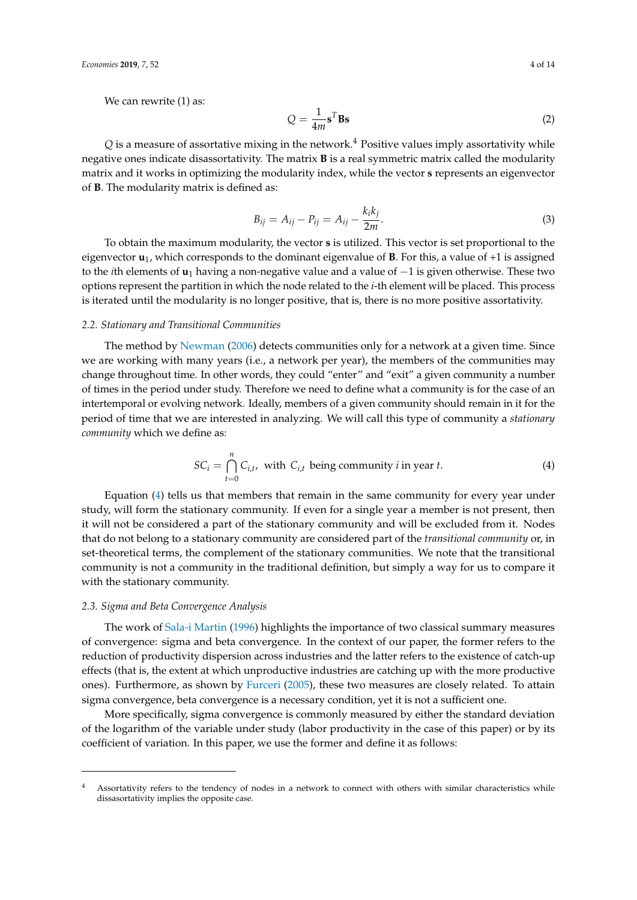We can rewrite  $(1)$  as:

$$
Q = \frac{1}{4m} \mathbf{s}^T \mathbf{B} \mathbf{s}
$$
 (2)

 $Q$  is a measure of assortative mixing in the network.<sup>4</sup> Positive values imply assortativity while negative ones indicate disassortativity. The matrix **B** is a real symmetric matrix called the modularity matrix and it works in optimizing the modularity index, while the vector **s** represents an eigenvector of **B**. The modularity matrix is defined as:

$$
B_{ij} = A_{ij} - P_{ij} = A_{ij} - \frac{k_i k_j}{2m}.
$$
 (3)

To obtain the maximum modularity, the vector **s** is utilized. This vector is set proportional to the eigenvector  $\mathbf{u}_1$ , which corresponds to the dominant eigenvalue of **B**. For this, a value of +1 is assigned to the *i*th elements of **u**<sup>1</sup> having a non-negative value and a value of −1 is given otherwise. These two options represent the partition in which the node related to the *i*-th element will be placed. This process is iterated until the modularity is no longer positive, that is, there is no more positive assortativity.

#### *2.2. Stationary and Transitional Communities*

The method by [Newman](#page-13-12) [\(2006\)](#page-13-12) detects communities only for a network at a given time. Since we are working with many years (i.e., a network per year), the members of the communities may change throughout time. In other words, they could "enter" and "exit" a given community a number of times in the period under study. Therefore we need to define what a community is for the case of an intertemporal or evolving network. Ideally, members of a given community should remain in it for the period of time that we are interested in analyzing. We will call this type of community a *stationary community* which we define as:

<span id="page-3-0"></span>
$$
SC_i = \bigcap_{t=0}^{n} C_{i,t}, \text{ with } C_{i,t} \text{ being community } i \text{ in year } t. \tag{4}
$$

Equation [\(4\)](#page-3-0) tells us that members that remain in the same community for every year under study, will form the stationary community. If even for a single year a member is not present, then it will not be considered a part of the stationary community and will be excluded from it. Nodes that do not belong to a stationary community are considered part of the *transitional community* or, in set-theoretical terms, the complement of the stationary communities. We note that the transitional community is not a community in the traditional definition, but simply a way for us to compare it with the stationary community.

#### *2.3. Sigma and Beta Convergence Analysis*

The work of [Sala-i Martin](#page-13-15) [\(1996\)](#page-13-15) highlights the importance of two classical summary measures of convergence: sigma and beta convergence. In the context of our paper, the former refers to the reduction of productivity dispersion across industries and the latter refers to the existence of catch-up effects (that is, the extent at which unproductive industries are catching up with the more productive ones). Furthermore, as shown by [Furceri](#page-13-16) [\(2005\)](#page-13-16), these two measures are closely related. To attain sigma convergence, beta convergence is a necessary condition, yet it is not a sufficient one.

More specifically, sigma convergence is commonly measured by either the standard deviation of the logarithm of the variable under study (labor productivity in the case of this paper) or by its coefficient of variation. In this paper, we use the former and define it as follows:

<sup>4</sup> Assortativity refers to the tendency of nodes in a network to connect with others with similar characteristics while dissasortativity implies the opposite case.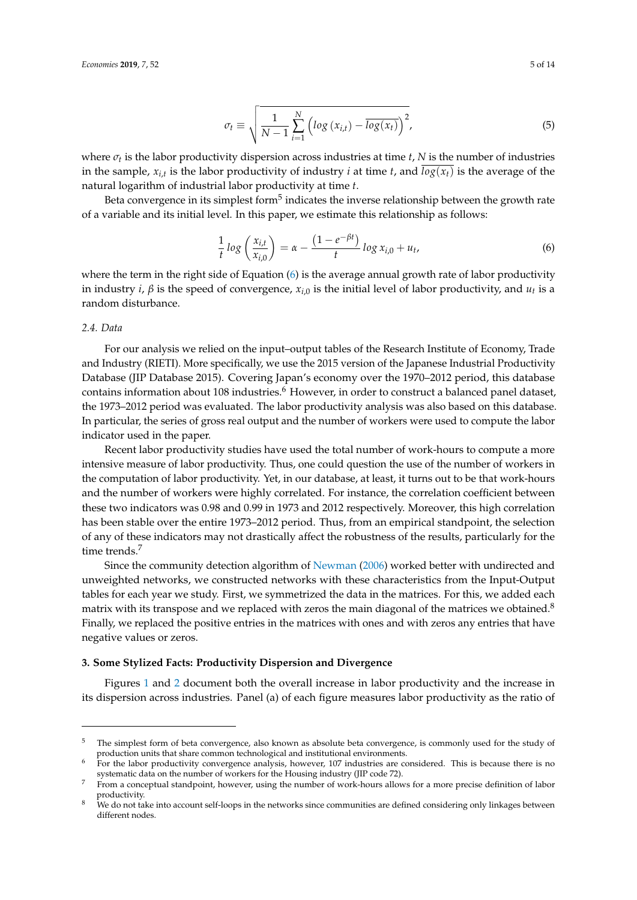$$
\sigma_t \equiv \sqrt{\frac{1}{N-1} \sum_{i=1}^{N} \left( \log \left( x_{i,t} \right) - \overline{\log(x_t)} \right)^2},\tag{5}
$$

where  $\sigma_t$  is the labor productivity dispersion across industries at time *t*, N is the number of industries in the sample,  $x_{i,t}$  is the labor productivity of industry *i* at time *t*, and  $log(x_t)$  is the average of the natural logarithm of industrial labor productivity at time *t*.

Beta convergence in its simplest form $^5$  indicates the inverse relationship between the growth rate of a variable and its initial level. In this paper, we estimate this relationship as follows:

<span id="page-4-1"></span>
$$
\frac{1}{t} \log \left( \frac{x_{i,t}}{x_{i,0}} \right) = \alpha - \frac{(1 - e^{-\beta t})}{t} \log x_{i,0} + u_t,
$$
\n(6)

where the term in the right side of Equation [\(6\)](#page-4-1) is the average annual growth rate of labor productivity in industry *i, β* is the speed of convergence*,*  $x_{i,0}$  is the initial level of labor productivity, and  $u_t$  is a random disturbance.

# *2.4. Data*

For our analysis we relied on the input–output tables of the Research Institute of Economy, Trade and Industry (RIETI). More specifically, we use the 2015 version of the Japanese Industrial Productivity Database (JIP Database 2015). Covering Japan's economy over the 1970–2012 period, this database contains information about 108 industries.<sup>6</sup> However, in order to construct a balanced panel dataset, the 1973–2012 period was evaluated. The labor productivity analysis was also based on this database. In particular, the series of gross real output and the number of workers were used to compute the labor indicator used in the paper.

Recent labor productivity studies have used the total number of work-hours to compute a more intensive measure of labor productivity. Thus, one could question the use of the number of workers in the computation of labor productivity. Yet, in our database, at least, it turns out to be that work-hours and the number of workers were highly correlated. For instance, the correlation coefficient between these two indicators was 0.98 and 0.99 in 1973 and 2012 respectively. Moreover, this high correlation has been stable over the entire 1973–2012 period. Thus, from an empirical standpoint, the selection of any of these indicators may not drastically affect the robustness of the results, particularly for the time trends.<sup>7</sup>

Since the community detection algorithm of [Newman](#page-13-12) [\(2006\)](#page-13-12) worked better with undirected and unweighted networks, we constructed networks with these characteristics from the Input-Output tables for each year we study. First, we symmetrized the data in the matrices. For this, we added each matrix with its transpose and we replaced with zeros the main diagonal of the matrices we obtained.<sup>8</sup> Finally, we replaced the positive entries in the matrices with ones and with zeros any entries that have negative values or zeros.

## <span id="page-4-0"></span>**3. Some Stylized Facts: Productivity Dispersion and Divergence**

Figures [1](#page-5-0) and [2](#page-5-1) document both the overall increase in labor productivity and the increase in its dispersion across industries. Panel (a) of each figure measures labor productivity as the ratio of

<sup>5</sup> The simplest form of beta convergence, also known as absolute beta convergence, is commonly used for the study of production units that share common technological and institutional environments.

<sup>6</sup> For the labor productivity convergence analysis, however, 107 industries are considered. This is because there is no systematic data on the number of workers for the Housing industry (JIP code 72).

<sup>&</sup>lt;sup>7</sup> From a conceptual standpoint, however, using the number of work-hours allows for a more precise definition of labor productivity.

 $8$  We do not take into account self-loops in the networks since communities are defined considering only linkages between different nodes.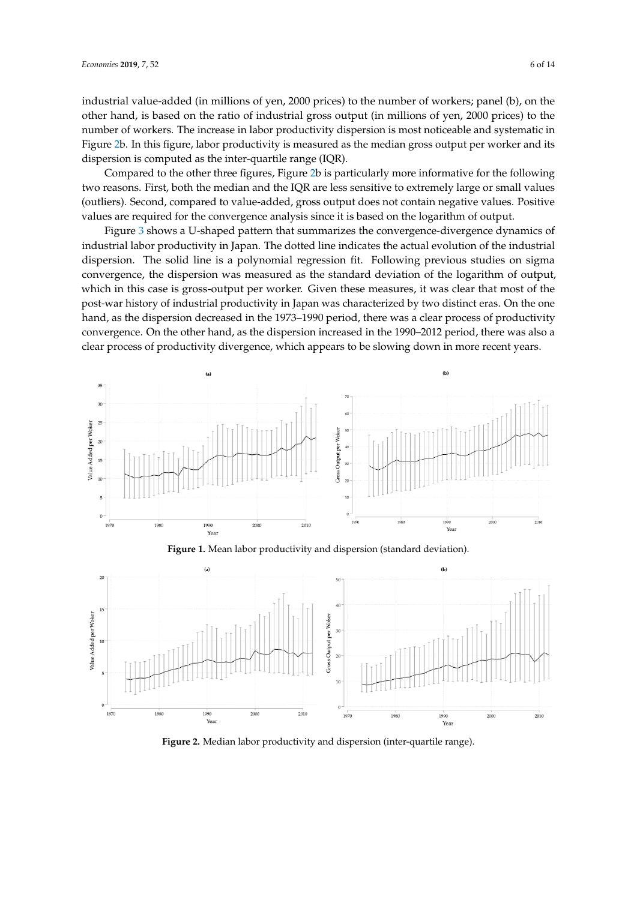industrial value-added (in millions of yen, 2000 prices) to the number of workers; panel (b), on the other hand, is based on the ratio of industrial gross output (in millions of yen, 2000 prices) to the number of workers. The increase in labor productivity dispersion is most noticeable and systematic in Figure [2b](#page-5-1). In this figure, labor productivity is measured as the median gross output per worker and its dispersion is computed as the inter-quartile range (IQR).

Compared to the other three figures, Figure [2b](#page-5-1) is particularly more informative for the following two reasons. First, both the median and the IQR are less sensitive to extremely large or small values (outliers). Second, compared to value-added, gross output does not contain negative values. Positive values are required for the convergence analysis since it is based on the logarithm of output.

Figure [3](#page-6-0) shows a U-shaped pattern that summarizes the convergence-divergence dynamics of industrial labor productivity in Japan. The dotted line indicates the actual evolution of the industrial dispersion. The solid line is a polynomial regression fit. Following previous studies on sigma convergence, the dispersion was measured as the standard deviation of the logarithm of output, which in this case is gross-output per worker. Given these measures, it was clear that most of the post-war history of industrial productivity in Japan was characterized by two distinct eras. On the one hand, as the dispersion decreased in the 1973–1990 period, there was a clear process of productivity convergence. On the other hand, as the dispersion increased in the 1990–2012 period, there was also a clear process of productivity divergence, which appears to be slowing down in more recent years.

<span id="page-5-0"></span>



<span id="page-5-1"></span>

**Figure 2.** Median labor productivity and dispersion (inter-quartile range).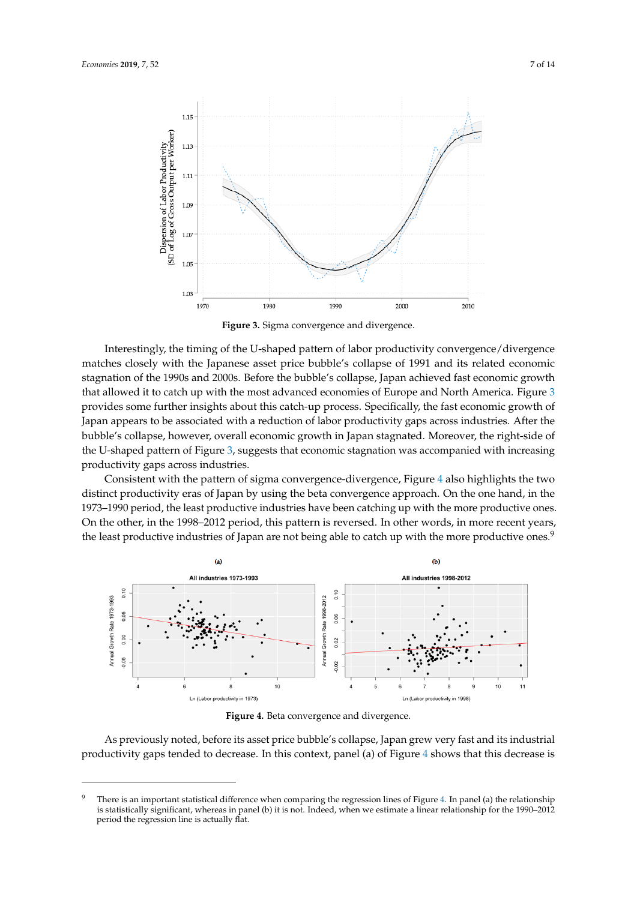<span id="page-6-0"></span>

**Figure 3.** Sigma convergence and divergence.

Interestingly, the timing of the U-shaped pattern of labor productivity convergence/divergence matches closely with the Japanese asset price bubble's collapse of 1991 and its related economic stagnation of the 1990s and 2000s. Before the bubble's collapse, Japan achieved fast economic growth that allowed it to catch up with the most advanced economies of Europe and North America. Figure [3](#page-6-0) provides some further insights about this catch-up process. Specifically, the fast economic growth of Japan appears to be associated with a reduction of labor productivity gaps across industries. After the bubble's collapse, however, overall economic growth in Japan stagnated. Moreover, the right-side of the U-shaped pattern of Figure [3,](#page-6-0) suggests that economic stagnation was accompanied with increasing productivity gaps across industries.

Consistent with the pattern of sigma convergence-divergence, Figure [4](#page-6-1) also highlights the two distinct productivity eras of Japan by using the beta convergence approach. On the one hand, in the 1973–1990 period, the least productive industries have been catching up with the more productive ones. On the other, in the 1998–2012 period, this pattern is reversed. In other words, in more recent years, the least productive industries of Japan are not being able to catch up with the more productive ones.<sup>9</sup>

<span id="page-6-1"></span>

**Figure 4.** Beta convergence and divergence.

As previously noted, before its asset price bubble's collapse, Japan grew very fast and its industrial productivity gaps tended to decrease. In this context, panel (a) of Figure [4](#page-6-1) shows that this decrease is

<sup>&</sup>lt;sup>9</sup> There is an important statistical difference when comparing the regression lines of Figure [4.](#page-6-1) In panel (a) the relationship is statistically significant, whereas in panel (b) it is not. Indeed, when we estimate a linear relationship for the 1990–2012 period the regression line is actually flat.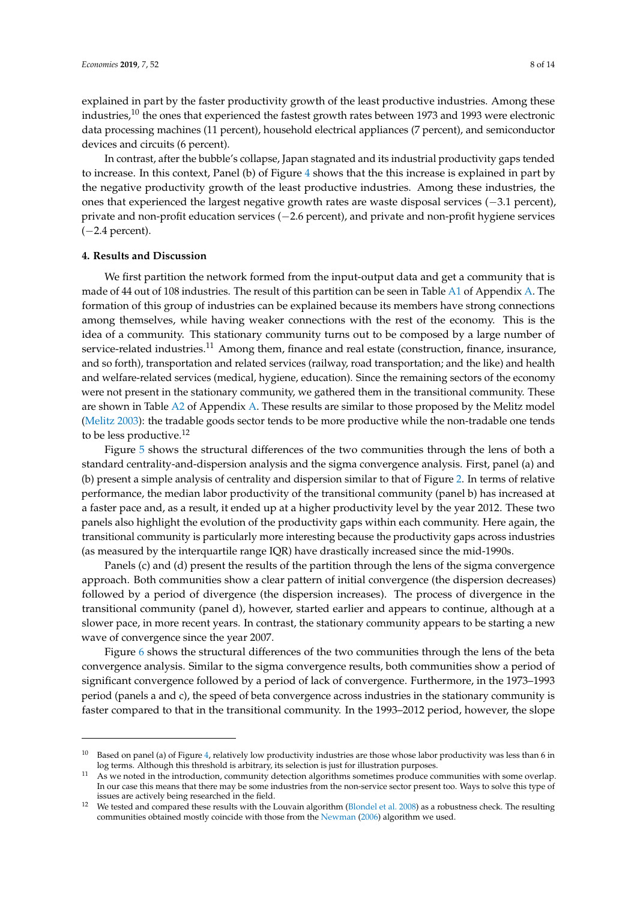explained in part by the faster productivity growth of the least productive industries. Among these industries,<sup>10</sup> the ones that experienced the fastest growth rates between 1973 and 1993 were electronic data processing machines (11 percent), household electrical appliances (7 percent), and semiconductor devices and circuits (6 percent).

In contrast, after the bubble's collapse, Japan stagnated and its industrial productivity gaps tended to increase. In this context, Panel (b) of Figure [4](#page-6-1) shows that the this increase is explained in part by the negative productivity growth of the least productive industries. Among these industries, the ones that experienced the largest negative growth rates are waste disposal services (−3.1 percent), private and non-profit education services (−2.6 percent), and private and non-profit hygiene services  $(-2.4$  percent).

#### <span id="page-7-0"></span>**4. Results and Discussion**

We first partition the network formed from the input-output data and get a community that is made of 44 out of 108 industries. The result of this partition can be seen in Table [A1](#page-10-0) of Appendix [A.](#page-9-1) The formation of this group of industries can be explained because its members have strong connections among themselves, while having weaker connections with the rest of the economy. This is the idea of a community. This stationary community turns out to be composed by a large number of service-related industries.<sup>11</sup> Among them, finance and real estate (construction, finance, insurance, and so forth), transportation and related services (railway, road transportation; and the like) and health and welfare-related services (medical, hygiene, education). Since the remaining sectors of the economy were not present in the stationary community, we gathered them in the transitional community. These are shown in Table [A2](#page-12-7) of Appendix [A.](#page-9-1) These results are similar to those proposed by the Melitz model [\(Melitz](#page-13-17) [2003\)](#page-13-17): the tradable goods sector tends to be more productive while the non-tradable one tends to be less productive.<sup>12</sup>

Figure [5](#page-8-0) shows the structural differences of the two communities through the lens of both a standard centrality-and-dispersion analysis and the sigma convergence analysis. First, panel (a) and (b) present a simple analysis of centrality and dispersion similar to that of Figure [2.](#page-5-1) In terms of relative performance, the median labor productivity of the transitional community (panel b) has increased at a faster pace and, as a result, it ended up at a higher productivity level by the year 2012. These two panels also highlight the evolution of the productivity gaps within each community. Here again, the transitional community is particularly more interesting because the productivity gaps across industries (as measured by the interquartile range IQR) have drastically increased since the mid-1990s.

Panels (c) and (d) present the results of the partition through the lens of the sigma convergence approach. Both communities show a clear pattern of initial convergence (the dispersion decreases) followed by a period of divergence (the dispersion increases). The process of divergence in the transitional community (panel d), however, started earlier and appears to continue, although at a slower pace, in more recent years. In contrast, the stationary community appears to be starting a new wave of convergence since the year 2007.

Figure [6](#page-8-1) shows the structural differences of the two communities through the lens of the beta convergence analysis. Similar to the sigma convergence results, both communities show a period of significant convergence followed by a period of lack of convergence. Furthermore, in the 1973–1993 period (panels a and c), the speed of beta convergence across industries in the stationary community is faster compared to that in the transitional community. In the 1993–2012 period, however, the slope

<sup>&</sup>lt;sup>10</sup> Based on panel (a) of Figure [4,](#page-6-1) relatively low productivity industries are those whose labor productivity was less than 6 in log terms. Although this threshold is arbitrary, its selection is just for illustration purposes.

As we noted in the introduction, community detection algorithms sometimes produce communities with some overlap. In our case this means that there may be some industries from the non-service sector present too. Ways to solve this type of issues are actively being researched in the field.

<sup>&</sup>lt;sup>12</sup> We tested and compared these results with the Louvain algorithm [\(Blondel et al.](#page-13-4) [2008\)](#page-13-4) as a robustness check. The resulting communities obtained mostly coincide with those from the [Newman](#page-13-12) [\(2006\)](#page-13-12) algorithm we used.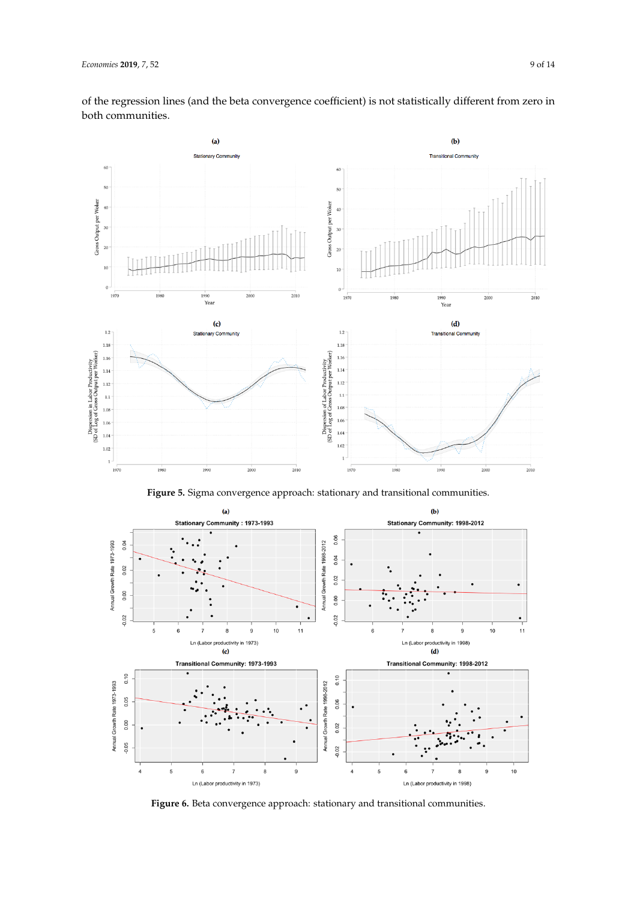

<span id="page-8-0"></span>

**Figure 5.** Sigma convergence approach: stationary and transitional communities.

<span id="page-8-1"></span>

**Figure 6.** Beta convergence approach: stationary and transitional communities.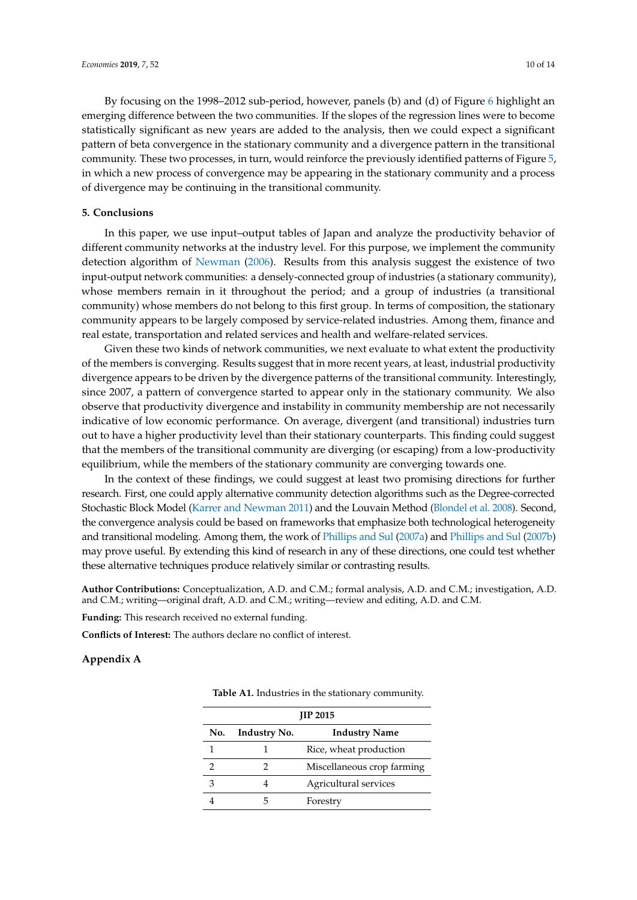By focusing on the 1998–2012 sub-period, however, panels (b) and (d) of Figure [6](#page-8-1) highlight an emerging difference between the two communities. If the slopes of the regression lines were to become statistically significant as new years are added to the analysis, then we could expect a significant pattern of beta convergence in the stationary community and a divergence pattern in the transitional community. These two processes, in turn, would reinforce the previously identified patterns of Figure [5,](#page-8-0) in which a new process of convergence may be appearing in the stationary community and a process of divergence may be continuing in the transitional community.

#### <span id="page-9-0"></span>**5. Conclusions**

In this paper, we use input–output tables of Japan and analyze the productivity behavior of different community networks at the industry level. For this purpose, we implement the community detection algorithm of [Newman](#page-13-12) [\(2006\)](#page-13-12). Results from this analysis suggest the existence of two input-output network communities: a densely-connected group of industries (a stationary community), whose members remain in it throughout the period; and a group of industries (a transitional community) whose members do not belong to this first group. In terms of composition, the stationary community appears to be largely composed by service-related industries. Among them, finance and real estate, transportation and related services and health and welfare-related services.

Given these two kinds of network communities, we next evaluate to what extent the productivity of the members is converging. Results suggest that in more recent years, at least, industrial productivity divergence appears to be driven by the divergence patterns of the transitional community. Interestingly, since 2007, a pattern of convergence started to appear only in the stationary community. We also observe that productivity divergence and instability in community membership are not necessarily indicative of low economic performance. On average, divergent (and transitional) industries turn out to have a higher productivity level than their stationary counterparts. This finding could suggest that the members of the transitional community are diverging (or escaping) from a low-productivity equilibrium, while the members of the stationary community are converging towards one.

In the context of these findings, we could suggest at least two promising directions for further research. First, one could apply alternative community detection algorithms such as the Degree-corrected Stochastic Block Model [\(Karrer and Newman](#page-13-3) [2011\)](#page-13-3) and the Louvain Method [\(Blondel et al.](#page-13-4) [2008\)](#page-13-4). Second, the convergence analysis could be based on frameworks that emphasize both technological heterogeneity and transitional modeling. Among them, the work of [Phillips and Sul](#page-13-18) [\(2007a\)](#page-13-18) and [Phillips and Sul](#page-13-19) [\(2007b\)](#page-13-19) may prove useful. By extending this kind of research in any of these directions, one could test whether these alternative techniques produce relatively similar or contrasting results.

**Author Contributions:** Conceptualization, A.D. and C.M.; formal analysis, A.D. and C.M.; investigation, A.D. and C.M.; writing—original draft, A.D. and C.M.; writing—review and editing, A.D. and C.M.

**Funding:** This research received no external funding.

**Conflicts of Interest:** The authors declare no conflict of interest.

# <span id="page-9-1"></span>**Appendix A**

| <b>JIP 2015</b> |                     |                            |  |  |  |
|-----------------|---------------------|----------------------------|--|--|--|
| No.             | <b>Industry No.</b> | <b>Industry Name</b>       |  |  |  |
|                 |                     | Rice, wheat production     |  |  |  |
|                 | 2                   | Miscellaneous crop farming |  |  |  |
| 3               |                     | Agricultural services      |  |  |  |
|                 |                     | Forestry                   |  |  |  |

**Table A1.** Industries in the stationary community.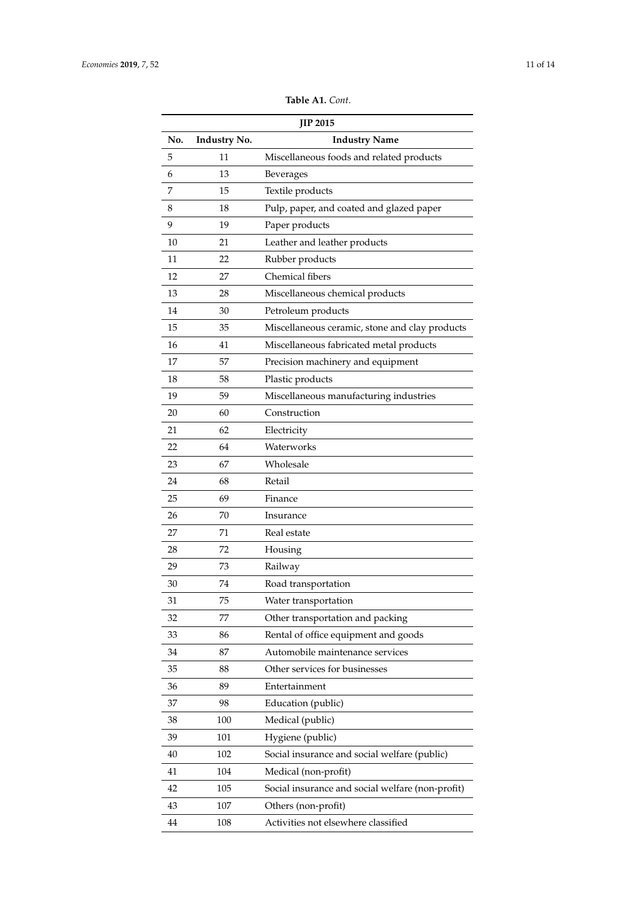| <b>Table A1.</b> Cont. |  |  |
|------------------------|--|--|
|------------------------|--|--|

<span id="page-10-0"></span>

| <b>JIP 2015</b> |              |                                                  |
|-----------------|--------------|--------------------------------------------------|
| No.             | Industry No. | <b>Industry Name</b>                             |
| 5               | 11           | Miscellaneous foods and related products         |
| 6               | 13           | Beverages                                        |
| 7               | 15           | Textile products                                 |
| 8               | 18           | Pulp, paper, and coated and glazed paper         |
| 9               | 19           | Paper products                                   |
| 10              | 21           | Leather and leather products                     |
| 11              | 22           | Rubber products                                  |
| 12              | 27           | Chemical fibers                                  |
| 13              | 28           | Miscellaneous chemical products                  |
| 14              | 30           | Petroleum products                               |
| 15              | 35           | Miscellaneous ceramic, stone and clay products   |
| 16              | 41           | Miscellaneous fabricated metal products          |
| 17              | 57           | Precision machinery and equipment                |
| 18              | 58           | Plastic products                                 |
| 19              | 59           | Miscellaneous manufacturing industries           |
| 20              | 60           | Construction                                     |
| 21              | 62           | Electricity                                      |
| 22              | 64           | Waterworks                                       |
| 23              | 67           | Wholesale                                        |
| 24              | 68           | Retail                                           |
| 25              | 69           | Finance                                          |
| 26              | 70           | Insurance                                        |
| 27              | 71           | Real estate                                      |
| 28              | 72           | Housing                                          |
| 29              | 73           | Railway                                          |
| 30              | 74           | Road transportation                              |
| 31              | 75           | Water transportation                             |
| 32              | 77           | Other transportation and packing                 |
| 33              | 86           | Rental of office equipment and goods             |
| 34              | 87           | Automobile maintenance services                  |
| 35              | 88           | Other services for businesses                    |
| 36              | 89           | Entertainment                                    |
| 37              | 98           | Education (public)                               |
| 38              | 100          | Medical (public)                                 |
| 39              | 101          | Hygiene (public)                                 |
| 40              | 102          | Social insurance and social welfare (public)     |
| 41              | 104          | Medical (non-profit)                             |
| 42              | 105          | Social insurance and social welfare (non-profit) |
| 43              | 107          | Others (non-profit)                              |
| 44              | 108          | Activities not elsewhere classified              |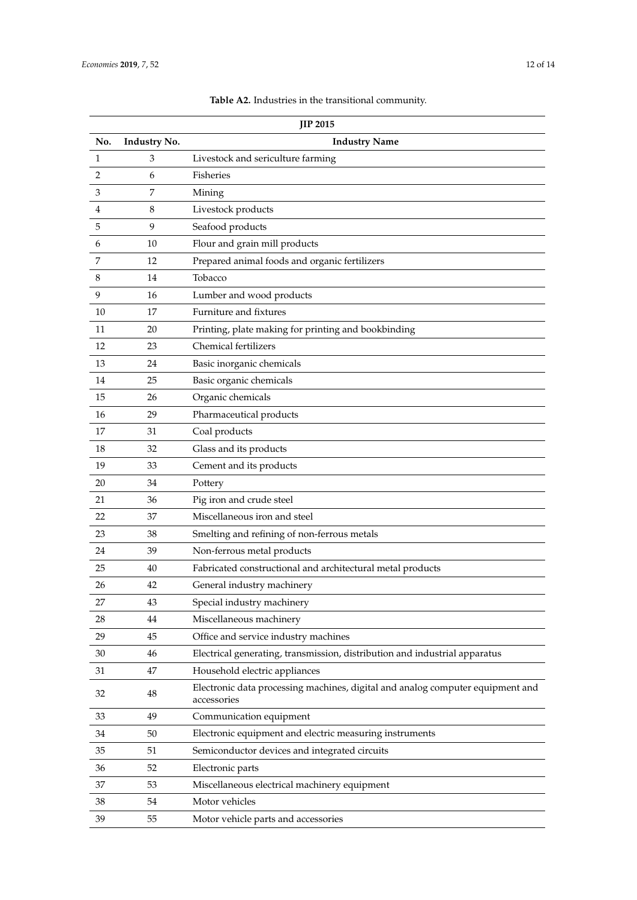|     | JIP 2015     |                                                                                               |  |
|-----|--------------|-----------------------------------------------------------------------------------------------|--|
| No. | Industry No. | <b>Industry Name</b>                                                                          |  |
| 1   | 3            | Livestock and sericulture farming                                                             |  |
| 2   | 6            | Fisheries                                                                                     |  |
| 3   | 7            | Mining                                                                                        |  |
| 4   | 8            | Livestock products                                                                            |  |
| 5   | 9            | Seafood products                                                                              |  |
| 6   | 10           | Flour and grain mill products                                                                 |  |
| 7   | 12           | Prepared animal foods and organic fertilizers                                                 |  |
| 8   | 14           | Tobacco                                                                                       |  |
| 9   | 16           | Lumber and wood products                                                                      |  |
| 10  | 17           | Furniture and fixtures                                                                        |  |
| 11  | 20           | Printing, plate making for printing and bookbinding                                           |  |
| 12  | 23           | Chemical fertilizers                                                                          |  |
| 13  | 24           | Basic inorganic chemicals                                                                     |  |
| 14  | 25           | Basic organic chemicals                                                                       |  |
| 15  | 26           | Organic chemicals                                                                             |  |
| 16  | 29           | Pharmaceutical products                                                                       |  |
| 17  | 31           | Coal products                                                                                 |  |
| 18  | 32           | Glass and its products                                                                        |  |
| 19  | 33           | Cement and its products                                                                       |  |
| 20  | 34           | Pottery                                                                                       |  |
| 21  | 36           | Pig iron and crude steel                                                                      |  |
| 22  | 37           | Miscellaneous iron and steel                                                                  |  |
| 23  | 38           | Smelting and refining of non-ferrous metals                                                   |  |
| 24  | 39           | Non-ferrous metal products                                                                    |  |
| 25  | 40           | Fabricated constructional and architectural metal products                                    |  |
| 26  | 42           | General industry machinery                                                                    |  |
| 27  | 43           | Special industry machinery                                                                    |  |
| 28  | 44           | Miscellaneous machinery                                                                       |  |
| 29  | 45           | Office and service industry machines                                                          |  |
| 30  | 46           | Electrical generating, transmission, distribution and industrial apparatus                    |  |
| 31  | 47           | Household electric appliances                                                                 |  |
| 32  | 48           | Electronic data processing machines, digital and analog computer equipment and<br>accessories |  |
| 33  | 49           | Communication equipment                                                                       |  |
| 34  | 50           | Electronic equipment and electric measuring instruments                                       |  |
| 35  | 51           | Semiconductor devices and integrated circuits                                                 |  |
| 36  | 52           | Electronic parts                                                                              |  |
| 37  | 53           | Miscellaneous electrical machinery equipment                                                  |  |
| 38  | 54           | Motor vehicles                                                                                |  |
| 39  | 55           | Motor vehicle parts and accessories                                                           |  |

# **Table A2.** Industries in the transitional community.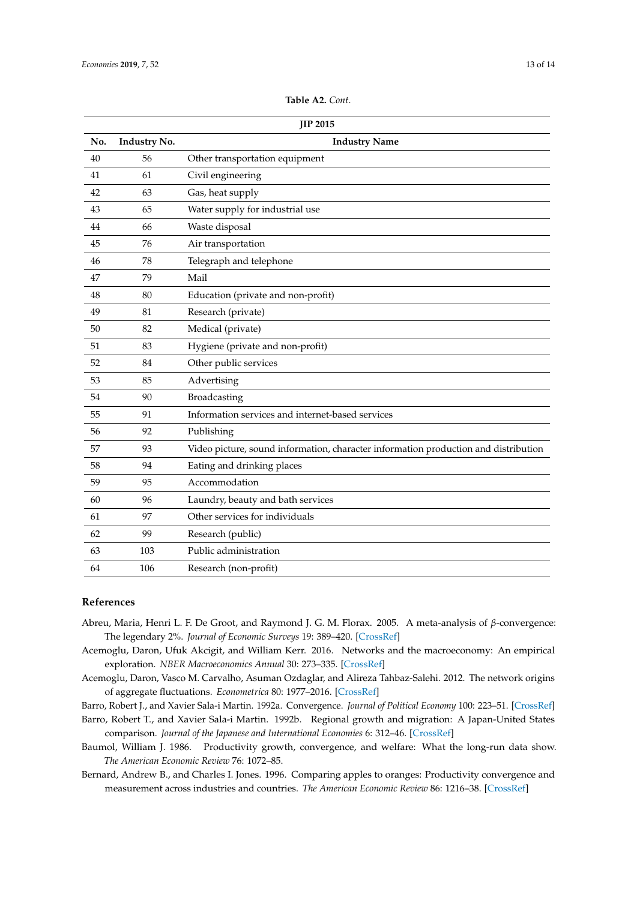<span id="page-12-7"></span>

| <b>JIP 2015</b> |              |                                                                                     |  |  |
|-----------------|--------------|-------------------------------------------------------------------------------------|--|--|
| No.             | Industry No. | <b>Industry Name</b>                                                                |  |  |
| 40              | 56           | Other transportation equipment                                                      |  |  |
| 41              | 61           | Civil engineering                                                                   |  |  |
| 42              | 63           | Gas, heat supply                                                                    |  |  |
| 43              | 65           | Water supply for industrial use                                                     |  |  |
| 44              | 66           | Waste disposal                                                                      |  |  |
| 45              | 76           | Air transportation                                                                  |  |  |
| 46              | 78           | Telegraph and telephone                                                             |  |  |
| 47              | 79           | Mail                                                                                |  |  |
| 48              | 80           | Education (private and non-profit)                                                  |  |  |
| 49              | 81           | Research (private)                                                                  |  |  |
| 50              | 82           | Medical (private)                                                                   |  |  |
| 51              | 83           | Hygiene (private and non-profit)                                                    |  |  |
| 52              | 84           | Other public services                                                               |  |  |
| 53              | 85           | Advertising                                                                         |  |  |
| 54              | 90           | Broadcasting                                                                        |  |  |
| 55              | 91           | Information services and internet-based services                                    |  |  |
| 56              | 92           | Publishing                                                                          |  |  |
| 57              | 93           | Video picture, sound information, character information production and distribution |  |  |
| 58              | 94           | Eating and drinking places                                                          |  |  |
| 59              | 95           | Accommodation                                                                       |  |  |
| 60              | 96           | Laundry, beauty and bath services                                                   |  |  |
| 61              | 97           | Other services for individuals                                                      |  |  |
| 62              | 99           | Research (public)                                                                   |  |  |
| 63              | 103          | Public administration                                                               |  |  |
| 64              | 106          | Research (non-profit)                                                               |  |  |

### **Table A2.** *Cont*.

#### **References**

- <span id="page-12-6"></span>Abreu, Maria, Henri L. F. De Groot, and Raymond J. G. M. Florax. 2005. A meta-analysis of *β*-convergence: The legendary 2%. *Journal of Economic Surveys* 19: 389–420. [\[CrossRef\]](http://dx.doi.org/10.1111/j.0950-0804.2005.00253.x)
- <span id="page-12-1"></span>Acemoglu, Daron, Ufuk Akcigit, and William Kerr. 2016. Networks and the macroeconomy: An empirical exploration. *NBER Macroeconomics Annual* 30: 273–335. [\[CrossRef\]](http://dx.doi.org/10.1086/685961)
- <span id="page-12-0"></span>Acemoglu, Daron, Vasco M. Carvalho, Asuman Ozdaglar, and Alireza Tahbaz-Salehi. 2012. The network origins of aggregate fluctuations. *Econometrica* 80: 1977–2016. [\[CrossRef\]](http://dx.doi.org/10.2139/ssrn.1947096)
- <span id="page-12-3"></span>Barro, Robert J., and Xavier Sala-i Martin. 1992a. Convergence. *Journal of Political Economy* 100: 223–51. [\[CrossRef\]](http://dx.doi.org/10.1086/261816)
- <span id="page-12-4"></span>Barro, Robert T., and Xavier Sala-i Martin. 1992b. Regional growth and migration: A Japan-United States comparison. *Journal of the Japanese and International Economies* 6: 312–46. [\[CrossRef\]](http://dx.doi.org/10.1016/0889-1583(92)90002-L)
- <span id="page-12-2"></span>Baumol, William J. 1986. Productivity growth, convergence, and welfare: What the long-run data show. *The American Economic Review* 76: 1072–85.
- <span id="page-12-5"></span>Bernard, Andrew B., and Charles I. Jones. 1996. Comparing apples to oranges: Productivity convergence and measurement across industries and countries. *The American Economic Review* 86: 1216–38. [\[CrossRef\]](http://dx.doi.org/10.1257/aer.91.4.1168)